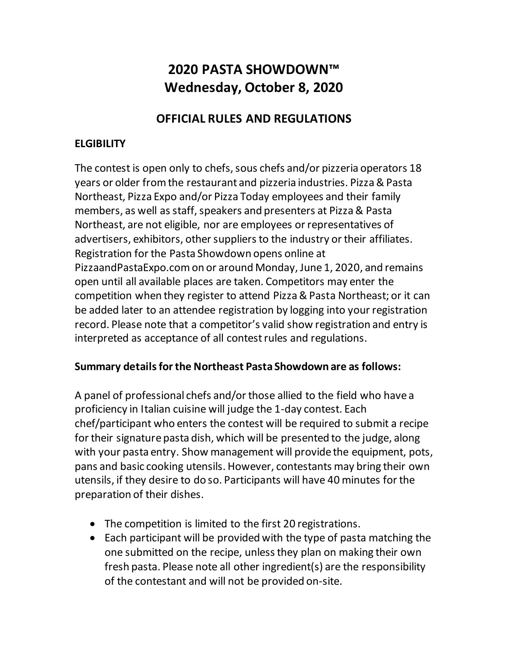# **2020 PASTA SHOWDOWN™ Wednesday, October 8, 2020**

## **OFFICIAL RULES AND REGULATIONS**

## **ELGIBILITY**

The contest is open only to chefs, sous chefs and/or pizzeria operators 18 years or older from the restaurant and pizzeria industries. Pizza & Pasta Northeast, Pizza Expo and/or Pizza Today employees and their family members, as well as staff, speakers and presenters at Pizza & Pasta Northeast, are not eligible, nor are employees or representatives of advertisers, exhibitors, other suppliers to the industry or their affiliates. Registration for the Pasta Showdown opens online at PizzaandPastaExpo.com on or around Monday, June 1, 2020, and remains open until all available places are taken. Competitors may enter the competition when they register to attend Pizza & Pasta Northeast; or it can be added later to an attendee registration by logging into your registration record. Please note that a competitor's valid show registration and entry is interpreted as acceptance of all contest rules and regulations.

#### **Summary details for the Northeast Pasta Showdown are as follows:**

A panel of professional chefs and/or those allied to the field who have a proficiency in Italian cuisine will judge the 1-day contest. Each chef/participant who enters the contest will be required to submit a recipe for their signature pasta dish, which will be presented to the judge, along with your pasta entry. Show management will provide the equipment, pots, pans and basic cooking utensils. However, contestants may bring their own utensils, if they desire to do so. Participants will have 40 minutes for the preparation of their dishes.

- The competition is limited to the first 20 registrations.
- Each participant will be provided with the type of pasta matching the one submitted on the recipe, unless they plan on making their own fresh pasta. Please note all other ingredient(s) are the responsibility of the contestant and will not be provided on-site.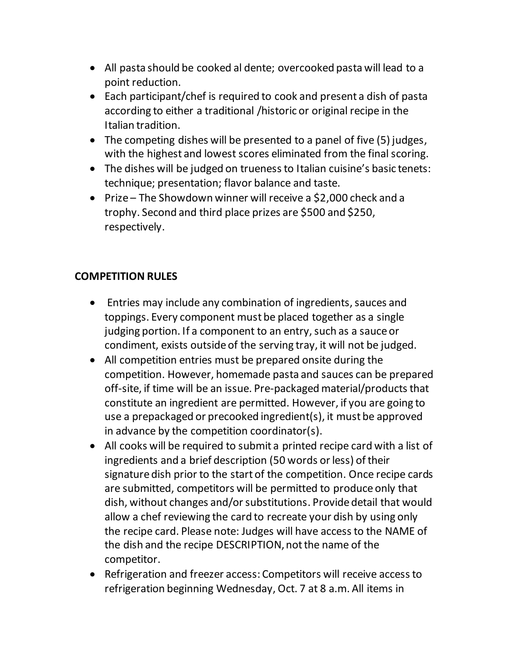- All pasta should be cooked al dente; overcooked pasta will lead to a point reduction.
- Each participant/chef is required to cook and present a dish of pasta according to either a traditional /historic or original recipe in the Italian tradition.
- The competing dishes will be presented to a panel of five (5) judges, with the highest and lowest scores eliminated from the final scoring.
- The dishes will be judged on trueness to Italian cuisine's basic tenets: technique; presentation; flavor balance and taste.
- Prize The Showdown winner will receive a \$2,000 check and a trophy. Second and third place prizes are \$500 and \$250, respectively.

### **COMPETITION RULES**

- Entries may include any combination of ingredients, sauces and toppings. Every component must be placed together as a single judging portion. If a component to an entry, such as a sauce or condiment, exists outside of the serving tray, it will not be judged.
- All competition entries must be prepared onsite during the competition. However, homemade pasta and sauces can be prepared off-site, if time will be an issue. Pre-packaged material/products that constitute an ingredient are permitted. However, if you are going to use a prepackaged or precooked ingredient(s), it must be approved in advance by the competition coordinator(s).
- All cooks will be required to submit a printed recipe card with a list of ingredients and a brief description (50 words or less) of their signature dish prior to the start of the competition. Once recipe cards are submitted, competitors will be permitted to produce only that dish, without changes and/or substitutions. Provide detail that would allow a chef reviewing the card to recreate your dish by using only the recipe card. Please note: Judges will have access to the NAME of the dish and the recipe DESCRIPTION, not the name of the competitor.
- Refrigeration and freezer access: Competitors will receive access to refrigeration beginning Wednesday, Oct. 7 at 8 a.m. All items in